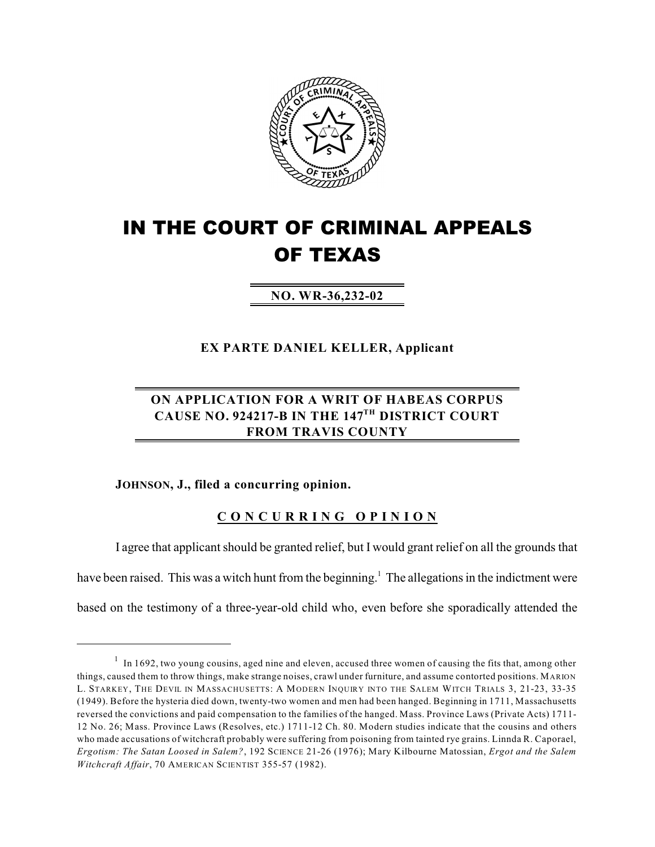

## **IN THE COURT OF CRIMINAL APPEALS OF TEXAS**

**NO. WR-36,232-02**

**EX PARTE DANIEL KELLER, Applicant**

## **ON APPLICATION FOR A WRIT OF HABEAS CORPUS CAUSE NO. 924217-B IN THE 147 DISTRICT COURT TH FROM TRAVIS COUNTY**

## **JOHNSON, J., filed a concurring opinion.**

## **C O N C U R R I N G O P I N I O N**

I agree that applicant should be granted relief, but I would grant relief on all the grounds that have been raised. This was a witch hunt from the beginning.<sup>1</sup> The allegations in the indictment were based on the testimony of a three-year-old child who, even before she sporadically attended the

 $1$  In 1692, two young cousins, aged nine and eleven, accused three women of causing the fits that, among other things, caused them to throw things, make strange noises, crawl under furniture, and assume contorted positions. MARION L. STARKEY, THE DEVIL IN MASSACHUSETTS: A MODERN INQUIRY INTO THE SALEM WITCH TRIALS 3, 21-23, 33-35 (1949). Before the hysteria died down, twenty-two women and men had been hanged. Beginning in 1711, Massachusetts reversed the convictions and paid compensation to the families of the hanged. Mass. Province Laws (Private Acts) 1711- 12 No. 26; Mass. Province Laws (Resolves, etc.) 1711-12 Ch. 80. Modern studies indicate that the cousins and others who made accusations of witchcraft probably were suffering from poisoning from tainted rye grains. Linnda R. Caporael, *Ergotism: The Satan Loosed in Salem?*, 192 SCIENCE 21-26 (1976); Mary Kilbourne Matossian, *Ergot and the Salem Witchcraft Affair*, 70 AMERICAN SCIENTIST 355-57 (1982).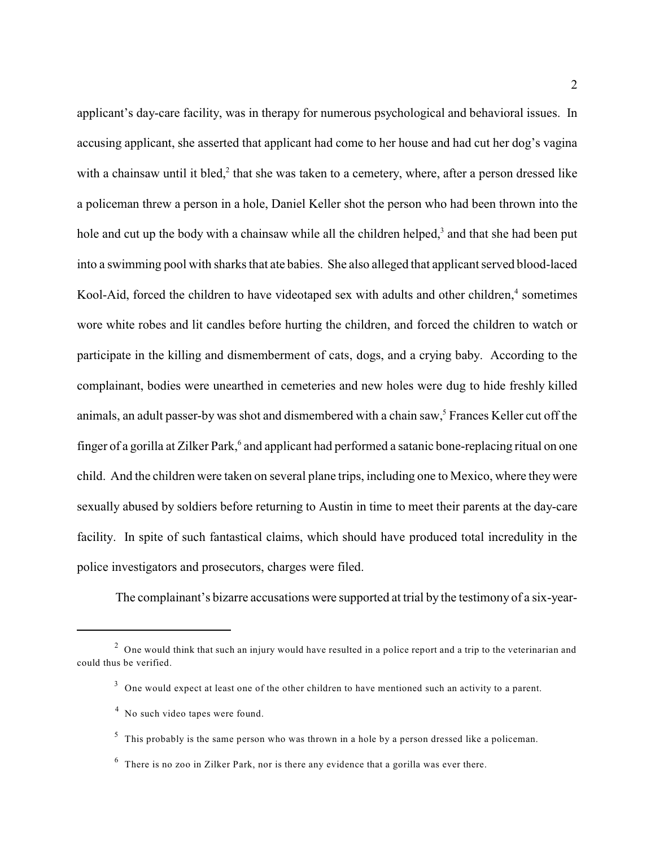applicant's day-care facility, was in therapy for numerous psychological and behavioral issues. In accusing applicant, she asserted that applicant had come to her house and had cut her dog's vagina with a chainsaw until it bled, $\lambda$  that she was taken to a cemetery, where, after a person dressed like a policeman threw a person in a hole, Daniel Keller shot the person who had been thrown into the hole and cut up the body with a chainsaw while all the children helped, $3$  and that she had been put into a swimming pool with sharks that ate babies. She also alleged that applicant served blood-laced Kool-Aid, forced the children to have videotaped sex with adults and other children, $4$  sometimes wore white robes and lit candles before hurting the children, and forced the children to watch or participate in the killing and dismemberment of cats, dogs, and a crying baby. According to the complainant, bodies were unearthed in cemeteries and new holes were dug to hide freshly killed animals, an adult passer-by was shot and dismembered with a chain saw,<sup>5</sup> Frances Keller cut off the finger of a gorilla at Zilker Park,<sup>6</sup> and applicant had performed a satanic bone-replacing ritual on one child. And the children were taken on several plane trips, including one to Mexico, where they were sexually abused by soldiers before returning to Austin in time to meet their parents at the day-care facility. In spite of such fantastical claims, which should have produced total incredulity in the police investigators and prosecutors, charges were filed.

The complainant's bizarre accusations were supported at trial by the testimony of a six-year-

 $2$  One would think that such an injury would have resulted in a police report and a trip to the veterinarian and could thus be verified.

 $3$  One would expect at least one of the other children to have mentioned such an activity to a parent.

 $4$  No such video tapes were found.

 $5$  This probably is the same person who was thrown in a hole by a person dressed like a policeman.

 $6$  There is no zoo in Zilker Park, nor is there any evidence that a gorilla was ever there.